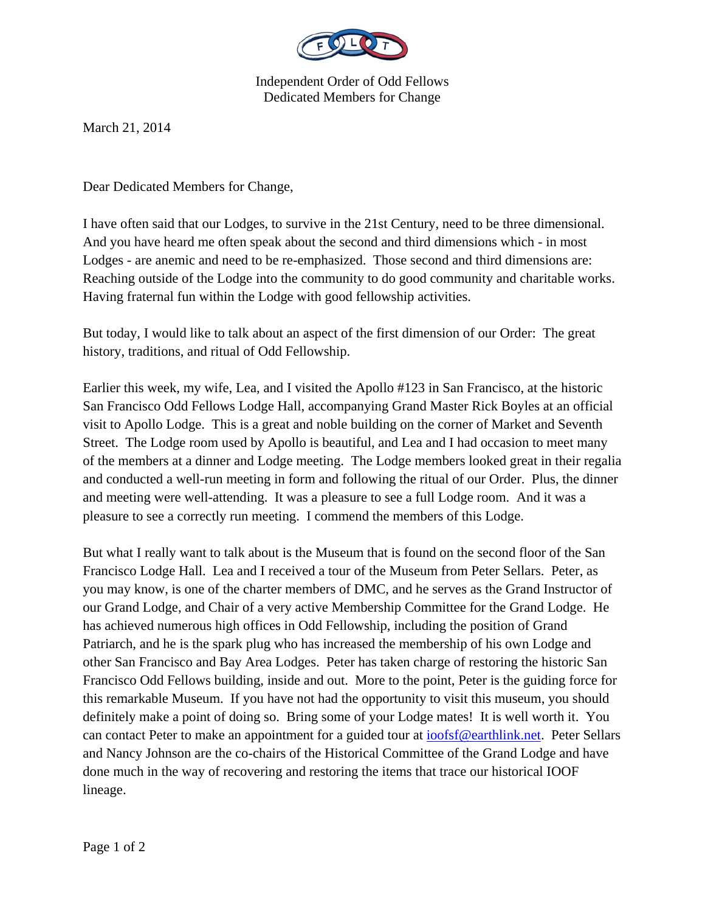

Independent Order of Odd Fellows Dedicated Members for Change

March 21, 2014

Dear Dedicated Members for Change,

I have often said that our Lodges, to survive in the 21st Century, need to be three dimensional. And you have heard me often speak about the second and third dimensions which - in most Lodges - are anemic and need to be re-emphasized. Those second and third dimensions are: Reaching outside of the Lodge into the community to do good community and charitable works. Having fraternal fun within the Lodge with good fellowship activities.

But today, I would like to talk about an aspect of the first dimension of our Order: The great history, traditions, and ritual of Odd Fellowship.

Earlier this week, my wife, Lea, and I visited the Apollo #123 in San Francisco, at the historic San Francisco Odd Fellows Lodge Hall, accompanying Grand Master Rick Boyles at an official visit to Apollo Lodge. This is a great and noble building on the corner of Market and Seventh Street. The Lodge room used by Apollo is beautiful, and Lea and I had occasion to meet many of the members at a dinner and Lodge meeting. The Lodge members looked great in their regalia and conducted a well-run meeting in form and following the ritual of our Order. Plus, the dinner and meeting were well-attending. It was a pleasure to see a full Lodge room. And it was a pleasure to see a correctly run meeting. I commend the members of this Lodge.

But what I really want to talk about is the Museum that is found on the second floor of the San Francisco Lodge Hall. Lea and I received a tour of the Museum from Peter Sellars. Peter, as you may know, is one of the charter members of DMC, and he serves as the Grand Instructor of our Grand Lodge, and Chair of a very active Membership Committee for the Grand Lodge. He has achieved numerous high offices in Odd Fellowship, including the position of Grand Patriarch, and he is the spark plug who has increased the membership of his own Lodge and other San Francisco and Bay Area Lodges. Peter has taken charge of restoring the historic San Francisco Odd Fellows building, inside and out. More to the point, Peter is the guiding force for this remarkable Museum. If you have not had the opportunity to visit this museum, you should definitely make a point of doing so. Bring some of your Lodge mates! It is well worth it. You can contact Peter to make an appointment for a guided tour at ioofsf@earthlink.net. Peter Sellars and Nancy Johnson are the co-chairs of the Historical Committee of the Grand Lodge and have done much in the way of recovering and restoring the items that trace our historical IOOF lineage.